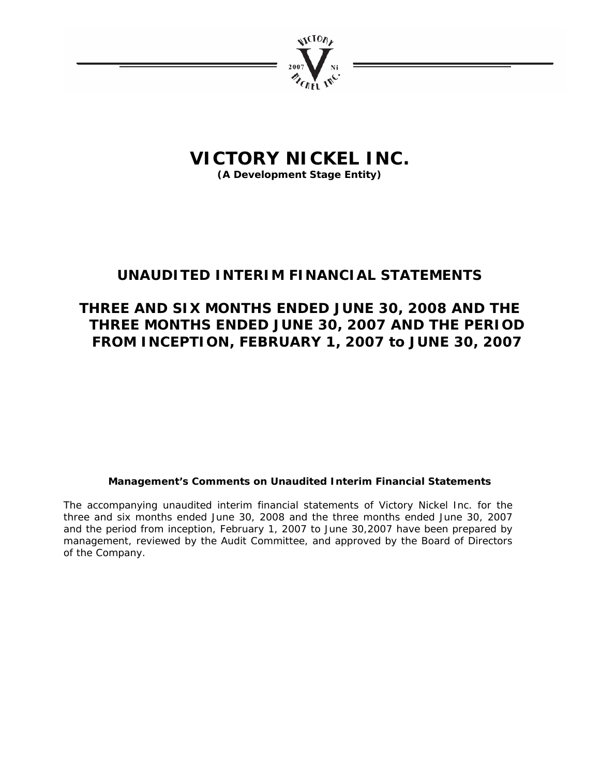

**(A Development Stage Entity)** 

## **UNAUDITED INTERIM FINANCIAL STATEMENTS**

## **THREE AND SIX MONTHS ENDED JUNE 30, 2008 AND THE THREE MONTHS ENDED JUNE 30, 2007 AND THE PERIOD FROM INCEPTION, FEBRUARY 1, 2007 to JUNE 30, 2007**

## **Management's Comments on Unaudited Interim Financial Statements**

The accompanying unaudited interim financial statements of Victory Nickel Inc. for the three and six months ended June 30, 2008 and the three months ended June 30, 2007 and the period from inception, February 1, 2007 to June 30,2007 have been prepared by management, reviewed by the Audit Committee, and approved by the Board of Directors of the Company.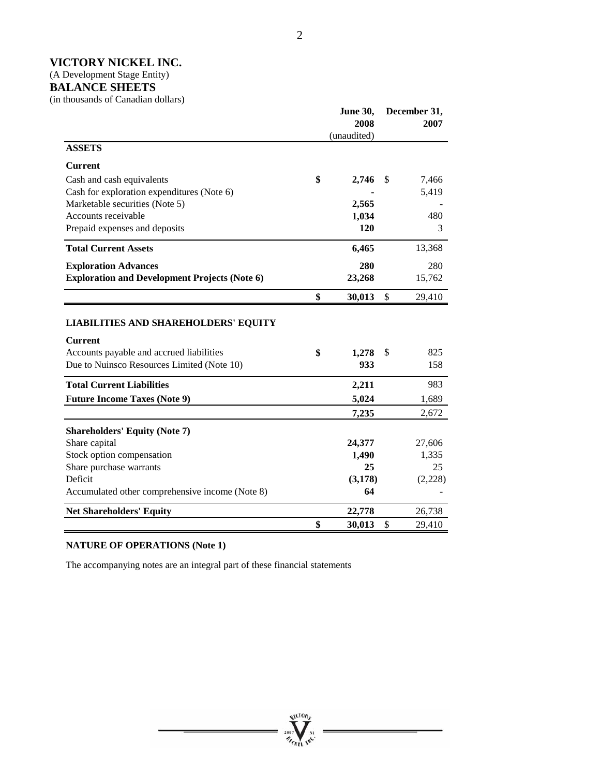(A Development Stage Entity)

## **BALANCE SHEETS**

(in thousands of Canadian dollars)

|                                                      | <b>June 30,</b> |             |    | December 31, |
|------------------------------------------------------|-----------------|-------------|----|--------------|
|                                                      |                 | 2008        |    | 2007         |
| <b>ASSETS</b>                                        |                 | (unaudited) |    |              |
| <b>Current</b>                                       |                 |             |    |              |
| Cash and cash equivalents                            | \$              | 2,746       | \$ | 7,466        |
| Cash for exploration expenditures (Note 6)           |                 |             |    | 5,419        |
| Marketable securities (Note 5)                       |                 | 2,565       |    |              |
| Accounts receivable                                  |                 | 1,034       |    | 480          |
| Prepaid expenses and deposits                        |                 | 120         |    | 3            |
| <b>Total Current Assets</b>                          |                 | 6,465       |    | 13,368       |
| <b>Exploration Advances</b>                          |                 | 280         |    | 280          |
| <b>Exploration and Development Projects (Note 6)</b> |                 | 23,268      |    | 15,762       |
|                                                      | \$              | 30,013      | \$ | 29,410       |
|                                                      |                 |             |    |              |
| <b>LIABILITIES AND SHAREHOLDERS' EQUITY</b>          |                 |             |    |              |
| <b>Current</b>                                       |                 |             |    |              |
| Accounts payable and accrued liabilities             | \$              | 1,278       | \$ | 825          |
| Due to Nuinsco Resources Limited (Note 10)           |                 | 933         |    | 158          |
| <b>Total Current Liabilities</b>                     |                 | 2,211       |    | 983          |
| <b>Future Income Taxes (Note 9)</b>                  |                 | 5,024       |    | 1,689        |
|                                                      |                 | 7,235       |    | 2,672        |
| <b>Shareholders' Equity (Note 7)</b>                 |                 |             |    |              |
| Share capital                                        |                 | 24,377      |    | 27,606       |
| Stock option compensation                            |                 | 1,490       |    | 1,335        |
| Share purchase warrants                              |                 | 25          |    | 25           |
| Deficit                                              |                 | (3, 178)    |    | (2,228)      |
| Accumulated other comprehensive income (Note 8)      |                 | 64          |    |              |
| <b>Net Shareholders' Equity</b>                      |                 | 22,778      |    | 26,738       |
|                                                      | \$              | 30,013      | \$ | 29,410       |

## **NATURE OF OPERATIONS (Note 1)**

The accompanying notes are an integral part of these financial statements

**ALCTORY** 

 $\frac{1007}{\sigma_{eff}}$  $n_{\rm r}$ 

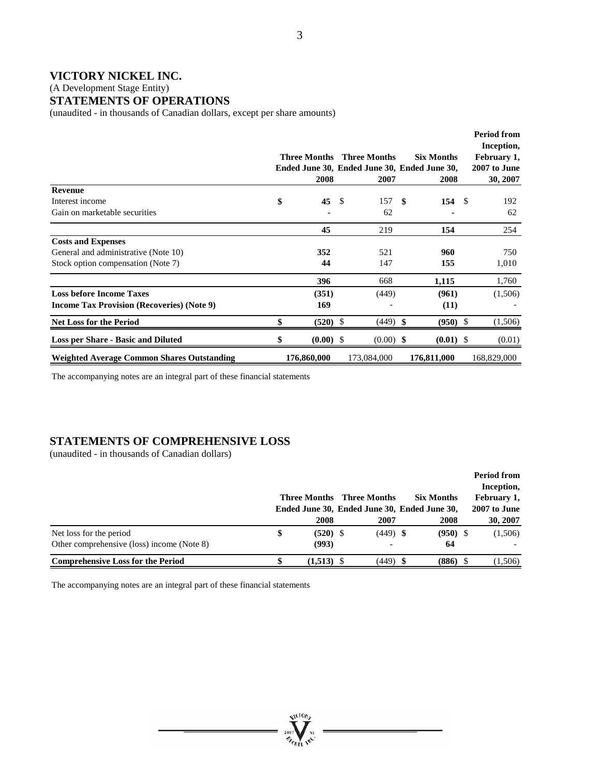#### (A Development Stage Entity)

### **STATEMENTS OF OPERATIONS**

(unaudited - in thousands of Canadian dollars, except per share amounts)

|                                                   | <b>Three Months</b><br>2008 |      | <b>Three Months</b><br>Ended June 30, Ended June 30, Ended June 30,<br>2007 | <b>Six Months</b><br>2008 |      | <b>Period from</b><br>Inception,<br>February 1,<br>2007 to June<br>30, 2007 |
|---------------------------------------------------|-----------------------------|------|-----------------------------------------------------------------------------|---------------------------|------|-----------------------------------------------------------------------------|
| Revenue                                           |                             |      |                                                                             |                           |      |                                                                             |
| Interest income                                   | \$<br>45                    | - \$ | 157S                                                                        | 154                       | - \$ | 192                                                                         |
| Gain on marketable securities                     |                             |      | 62                                                                          |                           |      | 62                                                                          |
|                                                   | 45                          |      | 219                                                                         | 154                       |      | 254                                                                         |
| <b>Costs and Expenses</b>                         |                             |      |                                                                             |                           |      |                                                                             |
| General and administrative (Note 10)              | 352                         |      | 521                                                                         | 960                       |      | 750                                                                         |
| Stock option compensation (Note 7)                | 44                          |      | 147                                                                         | 155                       |      | 1,010                                                                       |
|                                                   | 396                         |      | 668                                                                         | 1,115                     |      | 1,760                                                                       |
| <b>Loss before Income Taxes</b>                   | (351)                       |      | (449)                                                                       | (961)                     |      | (1,506)                                                                     |
| <b>Income Tax Provision (Recoveries) (Note 9)</b> | 169                         |      |                                                                             | (11)                      |      |                                                                             |
| <b>Net Loss for the Period</b>                    | \$<br>$(520)$ \$            |      | $(449)$ \$                                                                  | $(950)$ \$                |      | (1,506)                                                                     |
| <b>Loss per Share - Basic and Diluted</b>         | \$<br>$(0.00)$ \$           |      | $(0.00)$ \$                                                                 | $(0.01)$ \$               |      | (0.01)                                                                      |
| <b>Weighted Average Common Shares Outstanding</b> | 176,860,000                 |      | 173,084,000                                                                 | 176,811,000               |      | 168,829,000                                                                 |

The accompanying notes are an integral part of these financial statements

### **STATEMENTS OF COMPREHENSIVE LOSS**

(unaudited - in thousands of Canadian dollars)

|                                                                       | Three Months<br>2008      | Three Months<br>2007 | <b>Six Months</b><br>Ended June 30, Ended June 30, Ended June 30,<br>2008 | <b>Period from</b><br>Inception,<br>February 1,<br>2007 to June<br>30, 2007 |
|-----------------------------------------------------------------------|---------------------------|----------------------|---------------------------------------------------------------------------|-----------------------------------------------------------------------------|
| Net loss for the period<br>Other comprehensive (loss) income (Note 8) | \$<br>$(520)$ \$<br>(993) | $(449)$ \$           | $(950)$ \$<br>64                                                          | (1,506)                                                                     |
| <b>Comprehensive Loss for the Period</b>                              | $(1,513)$ \$              | $(449)$ \$           | $(886)$ \$                                                                | (1,506)                                                                     |

**ALCTORY** 

 $n_{\rm crit}$ 

The accompanying notes are an integral part of these financial statements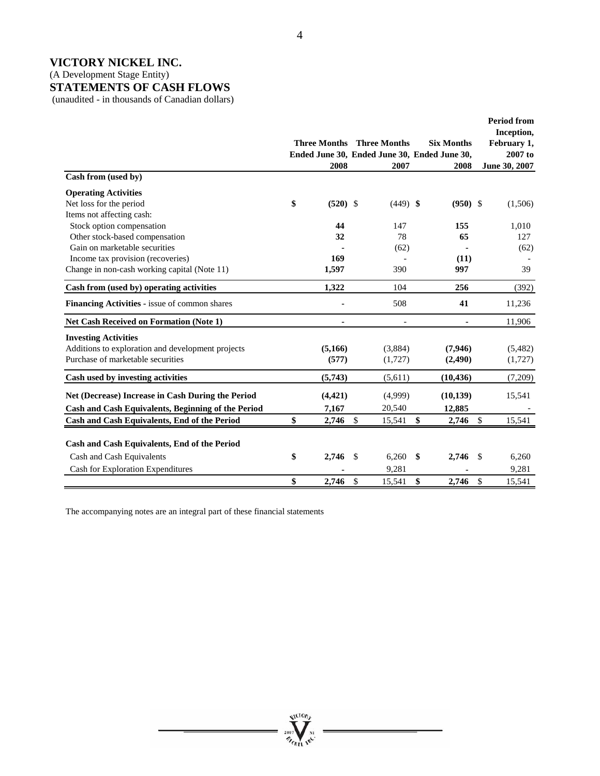(A Development Stage Entity)

## **STATEMENTS OF CASH FLOWS**

(unaudited - in thousands of Canadian dollars)

|                                                    | 2008             |               | <b>Three Months</b> Three Months<br>2007 | <b>Six Months</b><br>Ended June 30, Ended June 30, Ended June 30,<br>2008 | <b>Period from</b><br>Inception,<br>February 1,<br>$2007$ to<br>June 30, 2007 |
|----------------------------------------------------|------------------|---------------|------------------------------------------|---------------------------------------------------------------------------|-------------------------------------------------------------------------------|
| Cash from (used by)                                |                  |               |                                          |                                                                           |                                                                               |
| <b>Operating Activities</b>                        |                  |               |                                          |                                                                           |                                                                               |
| Net loss for the period                            | \$<br>$(520)$ \$ |               | $(449)$ \$                               | $(950)$ \$                                                                | (1,506)                                                                       |
| Items not affecting cash:                          |                  |               |                                          |                                                                           |                                                                               |
| Stock option compensation                          | 44               |               | 147                                      | 155                                                                       | 1,010                                                                         |
| Other stock-based compensation                     | 32               |               | 78                                       | 65                                                                        | 127                                                                           |
| Gain on marketable securities                      |                  |               | (62)                                     |                                                                           | (62)                                                                          |
| Income tax provision (recoveries)                  | 169              |               |                                          | (11)                                                                      |                                                                               |
| Change in non-cash working capital (Note 11)       | 1,597            |               | 390                                      | 997                                                                       | 39                                                                            |
| Cash from (used by) operating activities           | 1,322            |               | 104                                      | 256                                                                       | (392)                                                                         |
| Financing Activities - issue of common shares      |                  |               | 508                                      | 41                                                                        | 11,236                                                                        |
| <b>Net Cash Received on Formation (Note 1)</b>     |                  |               |                                          |                                                                           | 11,906                                                                        |
| <b>Investing Activities</b>                        |                  |               |                                          |                                                                           |                                                                               |
| Additions to exploration and development projects  | (5,166)          |               | (3,884)                                  | (7,946)                                                                   | (5,482)                                                                       |
| Purchase of marketable securities                  | (577)            |               | (1,727)                                  | (2,490)                                                                   | (1,727)                                                                       |
| Cash used by investing activities                  | (5,743)          |               | (5,611)                                  | (10, 436)                                                                 | (7,209)                                                                       |
| Net (Decrease) Increase in Cash During the Period  | (4, 421)         |               | (4,999)                                  | (10, 139)                                                                 | 15,541                                                                        |
| Cash and Cash Equivalents, Beginning of the Period | 7,167            |               | 20,540                                   | 12,885                                                                    |                                                                               |
| Cash and Cash Equivalents, End of the Period       | \$<br>2,746      | \$            | 15,541                                   | \$<br>2,746                                                               | \$<br>15,541                                                                  |
|                                                    |                  |               |                                          |                                                                           |                                                                               |
| Cash and Cash Equivalents, End of the Period       |                  |               |                                          |                                                                           |                                                                               |
| Cash and Cash Equivalents                          | \$<br>2,746      | $\mathcal{S}$ | 6,260                                    | \$<br>2,746                                                               | <sup>\$</sup><br>6,260                                                        |
| <b>Cash for Exploration Expenditures</b>           |                  |               | 9,281                                    |                                                                           | 9,281                                                                         |
|                                                    | \$<br>2.746      | \$            | 15,541                                   | \$<br>2,746                                                               | $\mathbb{S}$<br>15,541                                                        |

The accompanying notes are an integral part of these financial statements



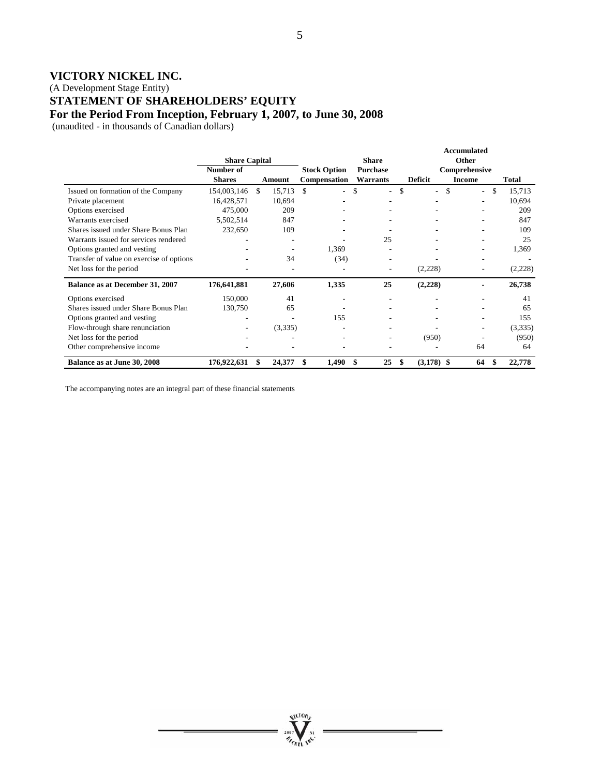(A Development Stage Entity)

**STATEMENT OF SHAREHOLDERS' EQUITY** 

**For the Period From Inception, February 1, 2007, to June 30, 2008** 

(unaudited - in thousands of Canadian dollars)

|                                          |                      |                         |                                |              |                    | <b>Accumulated</b>             |              |
|------------------------------------------|----------------------|-------------------------|--------------------------------|--------------|--------------------|--------------------------------|--------------|
|                                          | <b>Share Capital</b> |                         |                                | <b>Share</b> |                    | Other                          |              |
|                                          | Number of            |                         | <b>Stock Option</b>            | Purchase     |                    | Comprehensive                  |              |
|                                          | <b>Shares</b>        | Amount                  | Compensation                   | Warrants     | <b>Deficit</b>     | <b>Income</b>                  | <b>Total</b> |
| Issued on formation of the Company       | 154,003,146          | 15,713<br><sup>\$</sup> | \$<br>$\overline{\phantom{0}}$ | \$<br>۰.     | \$<br>$\sim$       | \$<br>$\overline{\phantom{a}}$ | \$<br>15,713 |
| Private placement                        | 16,428,571           | 10,694                  |                                |              |                    |                                | 10,694       |
| Options exercised                        | 475,000              | 209                     |                                |              |                    |                                | 209          |
| Warrants exercised                       | 5,502,514            | 847                     |                                |              |                    |                                | 847          |
| Shares issued under Share Bonus Plan     | 232,650              | 109                     |                                |              |                    |                                | 109          |
| Warrants issued for services rendered    |                      |                         |                                | 25           |                    | ٠                              | 25           |
| Options granted and vesting              |                      |                         | 1,369                          |              |                    | ۰                              | 1,369        |
| Transfer of value on exercise of options |                      | 34                      | (34)                           |              |                    |                                |              |
| Net loss for the period                  |                      |                         |                                |              | (2,228)            |                                | (2,228)      |
| Balance as at December 31, 2007          | 176,641,881          | 27,606                  | 1,335                          | 25           | (2,228)            |                                | 26,738       |
| Options exercised                        | 150,000              | 41                      |                                |              |                    |                                | 41           |
| Shares issued under Share Bonus Plan     | 130,750              | 65                      |                                |              |                    |                                | 65           |
| Options granted and vesting              |                      |                         | 155                            |              |                    |                                | 155          |
| Flow-through share renunciation          |                      | (3,335)                 |                                |              |                    | ٠                              | (3,335)      |
| Net loss for the period                  |                      |                         |                                |              | (950)              |                                | (950)        |
| Other comprehensive income               |                      |                         |                                |              |                    | 64                             | 64           |
| Balance as at June 30, 2008              | 176,922,631          | 24,377                  | 1,490<br>\$                    | 25<br>S      | \$<br>$(3,178)$ \$ | 64                             | \$<br>22,778 |

Arcto<sup>v</sup>

The accompanying notes are an integral part of these financial statements

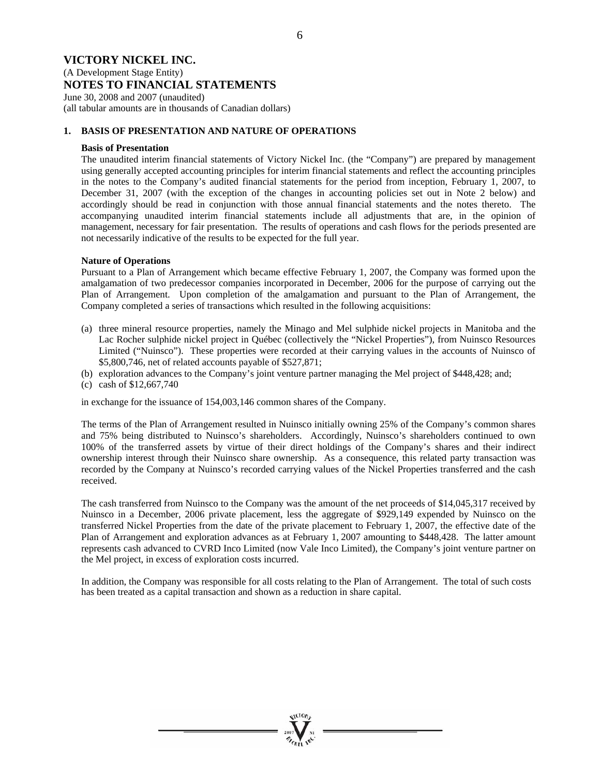### **VICTORY NICKEL INC.**  (A Development Stage Entity) **NOTES TO FINANCIAL STATEMENTS**

June 30, 2008 and 2007 (unaudited) (all tabular amounts are in thousands of Canadian dollars)

#### **1. BASIS OF PRESENTATION AND NATURE OF OPERATIONS**

#### **Basis of Presentation**

The unaudited interim financial statements of Victory Nickel Inc. (the "Company") are prepared by management using generally accepted accounting principles for interim financial statements and reflect the accounting principles in the notes to the Company's audited financial statements for the period from inception, February 1, 2007, to December 31, 2007 (with the exception of the changes in accounting policies set out in Note 2 below) and accordingly should be read in conjunction with those annual financial statements and the notes thereto. The accompanying unaudited interim financial statements include all adjustments that are, in the opinion of management, necessary for fair presentation. The results of operations and cash flows for the periods presented are not necessarily indicative of the results to be expected for the full year.

#### **Nature of Operations**

Pursuant to a Plan of Arrangement which became effective February 1, 2007, the Company was formed upon the amalgamation of two predecessor companies incorporated in December, 2006 for the purpose of carrying out the Plan of Arrangement. Upon completion of the amalgamation and pursuant to the Plan of Arrangement, the Company completed a series of transactions which resulted in the following acquisitions:

- (a) three mineral resource properties, namely the Minago and Mel sulphide nickel projects in Manitoba and the Lac Rocher sulphide nickel project in Québec (collectively the "Nickel Properties"), from Nuinsco Resources Limited ("Nuinsco"). These properties were recorded at their carrying values in the accounts of Nuinsco of \$5,800,746, net of related accounts payable of \$527,871;
- (b) exploration advances to the Company's joint venture partner managing the Mel project of \$448,428; and;
- (c) cash of \$12,667,740

in exchange for the issuance of 154,003,146 common shares of the Company.

The terms of the Plan of Arrangement resulted in Nuinsco initially owning 25% of the Company's common shares and 75% being distributed to Nuinsco's shareholders. Accordingly, Nuinsco's shareholders continued to own 100% of the transferred assets by virtue of their direct holdings of the Company's shares and their indirect ownership interest through their Nuinsco share ownership. As a consequence, this related party transaction was recorded by the Company at Nuinsco's recorded carrying values of the Nickel Properties transferred and the cash received.

The cash transferred from Nuinsco to the Company was the amount of the net proceeds of \$14,045,317 received by Nuinsco in a December, 2006 private placement, less the aggregate of \$929,149 expended by Nuinsco on the transferred Nickel Properties from the date of the private placement to February 1, 2007, the effective date of the Plan of Arrangement and exploration advances as at February 1, 2007 amounting to \$448,428. The latter amount represents cash advanced to CVRD Inco Limited (now Vale Inco Limited), the Company's joint venture partner on the Mel project, in excess of exploration costs incurred.

In addition, the Company was responsible for all costs relating to the Plan of Arrangement. The total of such costs has been treated as a capital transaction and shown as a reduction in share capital.

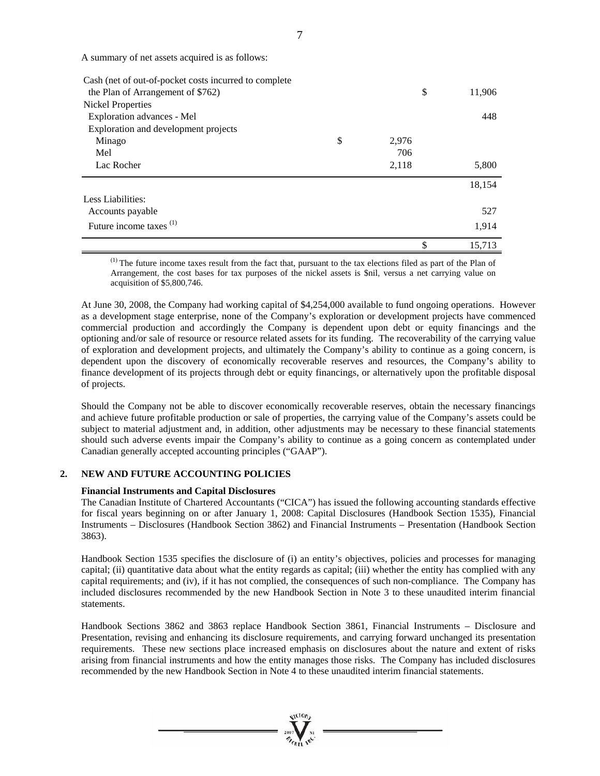A summary of net assets acquired is as follows:

| Cash (net of out-of-pocket costs incurred to complete |             |              |
|-------------------------------------------------------|-------------|--------------|
| the Plan of Arrangement of \$762)                     |             | \$<br>11,906 |
| Nickel Properties                                     |             |              |
| Exploration advances - Mel                            |             | 448          |
| Exploration and development projects                  |             |              |
| Minago                                                | \$<br>2,976 |              |
| Mel                                                   | 706         |              |
| Lac Rocher                                            | 2,118       | 5,800        |
|                                                       |             | 18,154       |
| Less Liabilities:                                     |             |              |
| Accounts payable                                      |             | 527          |
| Future income taxes <sup>(1)</sup>                    |             | 1,914        |
|                                                       |             | \$<br>15,713 |

(1) The future income taxes result from the fact that, pursuant to the tax elections filed as part of the Plan of Arrangement, the cost bases for tax purposes of the nickel assets is \$nil, versus a net carrying value on acquisition of \$5,800,746.

At June 30, 2008, the Company had working capital of \$4,254,000 available to fund ongoing operations. However as a development stage enterprise, none of the Company's exploration or development projects have commenced commercial production and accordingly the Company is dependent upon debt or equity financings and the optioning and/or sale of resource or resource related assets for its funding. The recoverability of the carrying value of exploration and development projects, and ultimately the Company's ability to continue as a going concern, is dependent upon the discovery of economically recoverable reserves and resources, the Company's ability to finance development of its projects through debt or equity financings, or alternatively upon the profitable disposal of projects.

Should the Company not be able to discover economically recoverable reserves, obtain the necessary financings and achieve future profitable production or sale of properties, the carrying value of the Company's assets could be subject to material adjustment and, in addition, other adjustments may be necessary to these financial statements should such adverse events impair the Company's ability to continue as a going concern as contemplated under Canadian generally accepted accounting principles ("GAAP").

#### **2. NEW AND FUTURE ACCOUNTING POLICIES**

#### **Financial Instruments and Capital Disclosures**

The Canadian Institute of Chartered Accountants ("CICA") has issued the following accounting standards effective for fiscal years beginning on or after January 1, 2008: Capital Disclosures (Handbook Section 1535), Financial Instruments – Disclosures (Handbook Section 3862) and Financial Instruments – Presentation (Handbook Section 3863).

Handbook Section 1535 specifies the disclosure of (i) an entity's objectives, policies and processes for managing capital; (ii) quantitative data about what the entity regards as capital; (iii) whether the entity has complied with any capital requirements; and (iv), if it has not complied, the consequences of such non-compliance. The Company has included disclosures recommended by the new Handbook Section in Note 3 to these unaudited interim financial statements.

Handbook Sections 3862 and 3863 replace Handbook Section 3861, Financial Instruments – Disclosure and Presentation, revising and enhancing its disclosure requirements, and carrying forward unchanged its presentation requirements. These new sections place increased emphasis on disclosures about the nature and extent of risks arising from financial instruments and how the entity manages those risks. The Company has included disclosures recommended by the new Handbook Section in Note 4 to these unaudited interim financial statements.

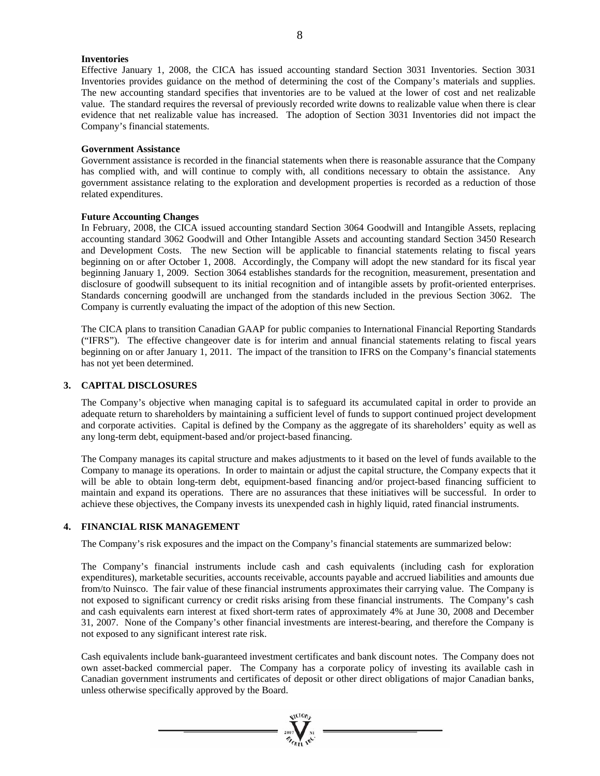#### **Inventories**

Effective January 1, 2008, the CICA has issued accounting standard Section 3031 Inventories. Section 3031 Inventories provides guidance on the method of determining the cost of the Company's materials and supplies. The new accounting standard specifies that inventories are to be valued at the lower of cost and net realizable value. The standard requires the reversal of previously recorded write downs to realizable value when there is clear evidence that net realizable value has increased. The adoption of Section 3031 Inventories did not impact the Company's financial statements.

#### **Government Assistance**

Government assistance is recorded in the financial statements when there is reasonable assurance that the Company has complied with, and will continue to comply with, all conditions necessary to obtain the assistance. Any government assistance relating to the exploration and development properties is recorded as a reduction of those related expenditures.

#### **Future Accounting Changes**

In February, 2008, the CICA issued accounting standard Section 3064 Goodwill and Intangible Assets, replacing accounting standard 3062 Goodwill and Other Intangible Assets and accounting standard Section 3450 Research and Development Costs. The new Section will be applicable to financial statements relating to fiscal years beginning on or after October 1, 2008. Accordingly, the Company will adopt the new standard for its fiscal year beginning January 1, 2009. Section 3064 establishes standards for the recognition, measurement, presentation and disclosure of goodwill subsequent to its initial recognition and of intangible assets by profit-oriented enterprises. Standards concerning goodwill are unchanged from the standards included in the previous Section 3062. The Company is currently evaluating the impact of the adoption of this new Section.

The CICA plans to transition Canadian GAAP for public companies to International Financial Reporting Standards ("IFRS"). The effective changeover date is for interim and annual financial statements relating to fiscal years beginning on or after January 1, 2011. The impact of the transition to IFRS on the Company's financial statements has not yet been determined.

#### **3. CAPITAL DISCLOSURES**

The Company's objective when managing capital is to safeguard its accumulated capital in order to provide an adequate return to shareholders by maintaining a sufficient level of funds to support continued project development and corporate activities. Capital is defined by the Company as the aggregate of its shareholders' equity as well as any long-term debt, equipment-based and/or project-based financing.

The Company manages its capital structure and makes adjustments to it based on the level of funds available to the Company to manage its operations. In order to maintain or adjust the capital structure, the Company expects that it will be able to obtain long-term debt, equipment-based financing and/or project-based financing sufficient to maintain and expand its operations. There are no assurances that these initiatives will be successful. In order to achieve these objectives, the Company invests its unexpended cash in highly liquid, rated financial instruments.

#### **4. FINANCIAL RISK MANAGEMENT**

The Company's risk exposures and the impact on the Company's financial statements are summarized below:

The Company's financial instruments include cash and cash equivalents (including cash for exploration expenditures), marketable securities, accounts receivable, accounts payable and accrued liabilities and amounts due from/to Nuinsco. The fair value of these financial instruments approximates their carrying value. The Company is not exposed to significant currency or credit risks arising from these financial instruments. The Company's cash and cash equivalents earn interest at fixed short-term rates of approximately 4% at June 30, 2008 and December 31, 2007. None of the Company's other financial investments are interest-bearing, and therefore the Company is not exposed to any significant interest rate risk.

Cash equivalents include bank-guaranteed investment certificates and bank discount notes. The Company does not own asset-backed commercial paper. The Company has a corporate policy of investing its available cash in Canadian government instruments and certificates of deposit or other direct obligations of major Canadian banks, unless otherwise specifically approved by the Board.

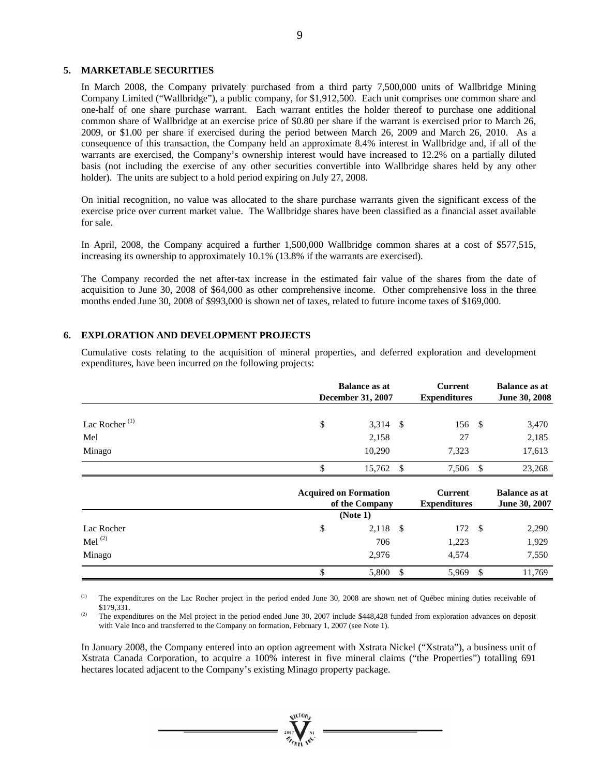#### **5. MARKETABLE SECURITIES**

In March 2008, the Company privately purchased from a third party 7,500,000 units of Wallbridge Mining Company Limited ("Wallbridge"), a public company, for \$1,912,500. Each unit comprises one common share and one-half of one share purchase warrant. Each warrant entitles the holder thereof to purchase one additional common share of Wallbridge at an exercise price of \$0.80 per share if the warrant is exercised prior to March 26, 2009, or \$1.00 per share if exercised during the period between March 26, 2009 and March 26, 2010. As a consequence of this transaction, the Company held an approximate 8.4% interest in Wallbridge and, if all of the warrants are exercised, the Company's ownership interest would have increased to 12.2% on a partially diluted basis (not including the exercise of any other securities convertible into Wallbridge shares held by any other holder). The units are subject to a hold period expiring on July 27, 2008.

On initial recognition, no value was allocated to the share purchase warrants given the significant excess of the exercise price over current market value. The Wallbridge shares have been classified as a financial asset available for sale.

In April, 2008, the Company acquired a further 1,500,000 Wallbridge common shares at a cost of \$577,515, increasing its ownership to approximately 10.1% (13.8% if the warrants are exercised).

The Company recorded the net after-tax increase in the estimated fair value of the shares from the date of acquisition to June 30, 2008 of \$64,000 as other comprehensive income. Other comprehensive loss in the three months ended June 30, 2008 of \$993,000 is shown net of taxes, related to future income taxes of \$169,000.

#### **6. EXPLORATION AND DEVELOPMENT PROJECTS**

Cumulative costs relating to the acquisition of mineral properties, and deferred exploration and development expenditures, have been incurred on the following projects:

|                           |                              | <b>Balance as at</b><br><b>December 31, 2007</b> |                                       | <b>Current</b><br><b>Expenditures</b> |                                       |
|---------------------------|------------------------------|--------------------------------------------------|---------------------------------------|---------------------------------------|---------------------------------------|
|                           |                              |                                                  |                                       |                                       |                                       |
| Lac Rocher <sup>(1)</sup> | \$                           | $3,314$ \$                                       | 156 \$                                |                                       | 3,470                                 |
| Mel                       |                              | 2,158                                            | 27                                    |                                       | 2,185                                 |
| Minago                    |                              | 10,290                                           | 7,323                                 |                                       | 17,613                                |
|                           | \$                           | 15,762 \$                                        | 7,506 \$                              |                                       | 23,268                                |
|                           | <b>Acquired on Formation</b> | of the Company                                   | <b>Current</b><br><b>Expenditures</b> |                                       | <b>Balance as at</b><br>June 30, 2007 |
|                           |                              | (Note 1)                                         |                                       |                                       |                                       |
| Lac Rocher                | \$                           | $2,118$ \$                                       | 172 \$                                |                                       | 2,290                                 |
| Mel $^{(2)}$              |                              | 706                                              | 1,223                                 |                                       | 1,929                                 |
| Minago                    |                              | 2,976                                            | 4,574                                 |                                       | 7,550                                 |
|                           | \$                           | \$<br>5,800                                      | 5,969                                 | \$                                    | 11,769                                |

<sup>(1)</sup> The expenditures on the Lac Rocher project in the period ended June 30, 2008 are shown net of Québec mining duties receivable of \$179,331.<br>
<sup>(2)</sup> The expenditures on the Mel project in the period ended June 30, 2007 include \$448,428 funded from exploration advances on deposit

with Vale Inco and transferred to the Company on formation, February 1, 2007 (see Note 1).

In January 2008, the Company entered into an option agreement with Xstrata Nickel ("Xstrata"), a business unit of Xstrata Canada Corporation, to acquire a 100% interest in five mineral claims ("the Properties") totalling 691 hectares located adjacent to the Company's existing Minago property package.

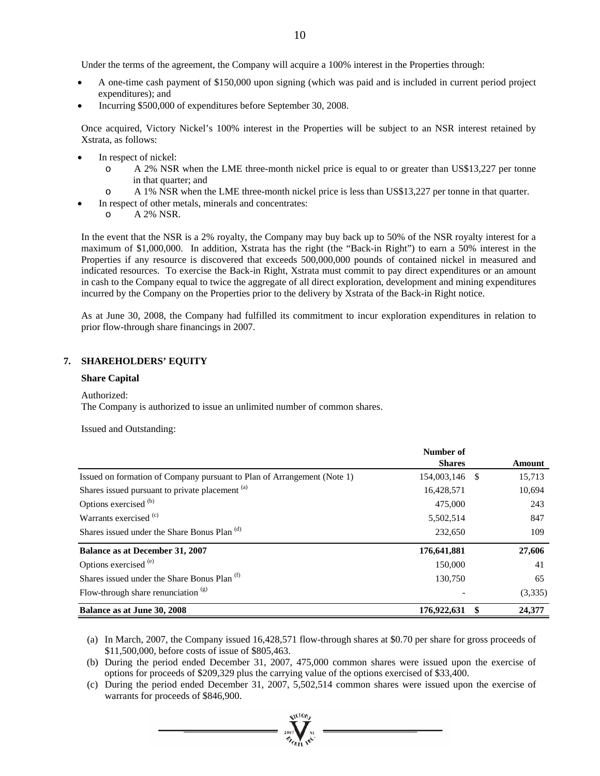Under the terms of the agreement, the Company will acquire a 100% interest in the Properties through:

- A one-time cash payment of \$150,000 upon signing (which was paid and is included in current period project expenditures); and
- Incurring \$500,000 of expenditures before September 30, 2008.

Once acquired, Victory Nickel's 100% interest in the Properties will be subject to an NSR interest retained by Xstrata, as follows:

- In respect of nickel:
	- o A 2% NSR when the LME three-month nickel price is equal to or greater than US\$13,227 per tonne in that quarter; and
- o A 1% NSR when the LME three-month nickel price is less than US\$13,227 per tonne in that quarter.
- In respect of other metals, minerals and concentrates:
	- o A 2% NSR.

In the event that the NSR is a 2% royalty, the Company may buy back up to 50% of the NSR royalty interest for a maximum of \$1,000,000. In addition, Xstrata has the right (the "Back-in Right") to earn a 50% interest in the Properties if any resource is discovered that exceeds 500,000,000 pounds of contained nickel in measured and indicated resources. To exercise the Back-in Right, Xstrata must commit to pay direct expenditures or an amount in cash to the Company equal to twice the aggregate of all direct exploration, development and mining expenditures incurred by the Company on the Properties prior to the delivery by Xstrata of the Back-in Right notice.

As at June 30, 2008, the Company had fulfilled its commitment to incur exploration expenditures in relation to prior flow-through share financings in 2007.

#### **7. SHAREHOLDERS' EQUITY**

#### **Share Capital**

#### Authorized:

The Company is authorized to issue an unlimited number of common shares.

Issued and Outstanding:

|                                                                         | Number of     |    |         |
|-------------------------------------------------------------------------|---------------|----|---------|
|                                                                         | <b>Shares</b> |    | Amount  |
| Issued on formation of Company pursuant to Plan of Arrangement (Note 1) | 154,003,146   | -S | 15,713  |
| Shares issued pursuant to private placement (a)                         | 16,428,571    |    | 10,694  |
| Options exercised <sup>(b)</sup>                                        | 475,000       |    | 243     |
| Warrants exercised <sup>(c)</sup>                                       | 5,502,514     |    | 847     |
| Shares issued under the Share Bonus Plan <sup>(d)</sup>                 | 232,650       |    | 109     |
| <b>Balance as at December 31, 2007</b>                                  | 176,641,881   |    | 27,606  |
| Options exercised <sup>(e)</sup>                                        | 150,000       |    | 41      |
| Shares issued under the Share Bonus Plan <sup>(f)</sup>                 | 130,750       |    | 65      |
| Flow-through share renunciation $(g)$                                   |               |    | (3,335) |
| Balance as at June 30, 2008                                             | 176,922,631   |    | 24,377  |

(a) In March, 2007, the Company issued 16,428,571 flow-through shares at \$0.70 per share for gross proceeds of \$11,500,000, before costs of issue of \$805,463.

(b) During the period ended December 31, 2007, 475,000 common shares were issued upon the exercise of options for proceeds of \$209,329 plus the carrying value of the options exercised of \$33,400.

(c) During the period ended December 31, 2007, 5,502,514 common shares were issued upon the exercise of warrants for proceeds of \$846,900.

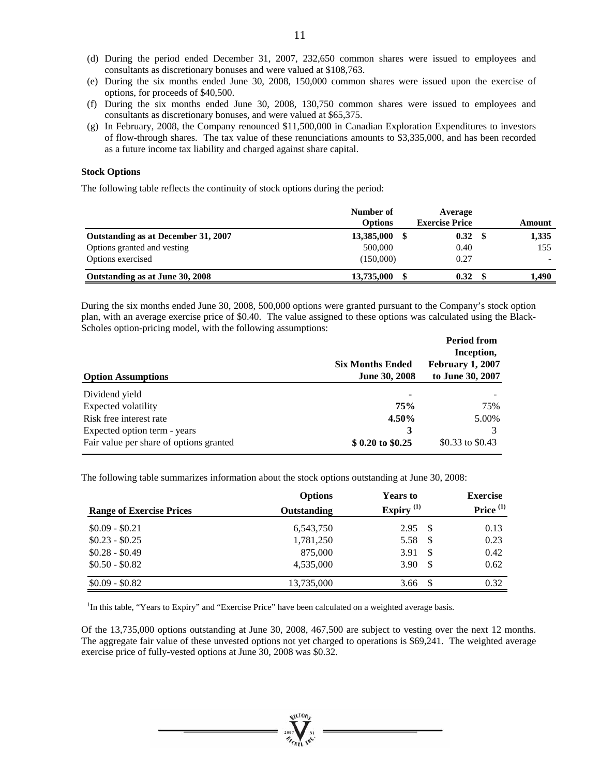- (d) During the period ended December 31, 2007, 232,650 common shares were issued to employees and consultants as discretionary bonuses and were valued at \$108,763.
- (e) During the six months ended June 30, 2008, 150,000 common shares were issued upon the exercise of options, for proceeds of \$40,500.
- (f) During the six months ended June 30, 2008, 130,750 common shares were issued to employees and consultants as discretionary bonuses, and were valued at \$65,375.
- (g) In February, 2008, the Company renounced \$11,500,000 in Canadian Exploration Expenditures to investors of flow-through shares. The tax value of these renunciations amounts to \$3,335,000, and has been recorded as a future income tax liability and charged against share capital.

#### **Stock Options**

The following table reflects the continuity of stock options during the period:

|                                     | Number of      | Average               |        |
|-------------------------------------|----------------|-----------------------|--------|
|                                     | <b>Options</b> | <b>Exercise Price</b> | Amount |
| Outstanding as at December 31, 2007 | 13,385,000     | 0.32                  | 1,335  |
| Options granted and vesting         | 500,000        | 0.40                  | 155    |
| Options exercised                   | (150,000)      | 0.27                  |        |
| Outstanding as at June 30, 2008     | 13,735,000     | 0.32                  | 1.490  |

During the six months ended June 30, 2008, 500,000 options were granted pursuant to the Company's stock option plan, with an average exercise price of \$0.40. The value assigned to these options was calculated using the Black-Scholes option-pricing model, with the following assumptions:

|                                         |                         | <b>Period from</b>      |
|-----------------------------------------|-------------------------|-------------------------|
|                                         |                         | Inception,              |
|                                         | <b>Six Months Ended</b> | <b>February 1, 2007</b> |
| <b>Option Assumptions</b>               | <b>June 30, 2008</b>    | to June 30, 2007        |
| Dividend yield                          |                         |                         |
| Expected volatility                     | 75%                     | 75%                     |
| Risk free interest rate                 | 4.50%                   | 5.00%                   |
| Expected option term - years            | 3                       |                         |
| Fair value per share of options granted | \$ 0.20 to \$0.25       | \$0.33 to \$0.43        |

The following table summarizes information about the stock options outstanding at June 30, 2008:

| <b>Range of Exercise Prices</b> | <b>Options</b><br>Outstanding | <b>Years to</b><br>Expiry $(1)$ | <b>Exercise</b><br>Price $(1)$ |
|---------------------------------|-------------------------------|---------------------------------|--------------------------------|
| $$0.09 - $0.21$                 |                               |                                 |                                |
| $$0.23 - $0.25$                 | 6,543,750<br>1,781,250        | 2.95S<br>5.58                   | 0.13<br>0.23                   |
| $$0.28 - $0.49$                 | 875,000                       | 3.91<br>-S                      | 0.42                           |
| $$0.50 - $0.82$$                | 4,535,000                     | 3.90                            | 0.62                           |
|                                 |                               |                                 |                                |
| $$0.09 - $0.82$$                | 13,735,000                    | 3.66                            | 0.32                           |

<sup>1</sup>In this table, "Years to Expiry" and "Exercise Price" have been calculated on a weighted average basis.

Of the 13,735,000 options outstanding at June 30, 2008, 467,500 are subject to vesting over the next 12 months. The aggregate fair value of these unvested options not yet charged to operations is \$69,241. The weighted average exercise price of fully-vested options at June 30, 2008 was \$0.32.

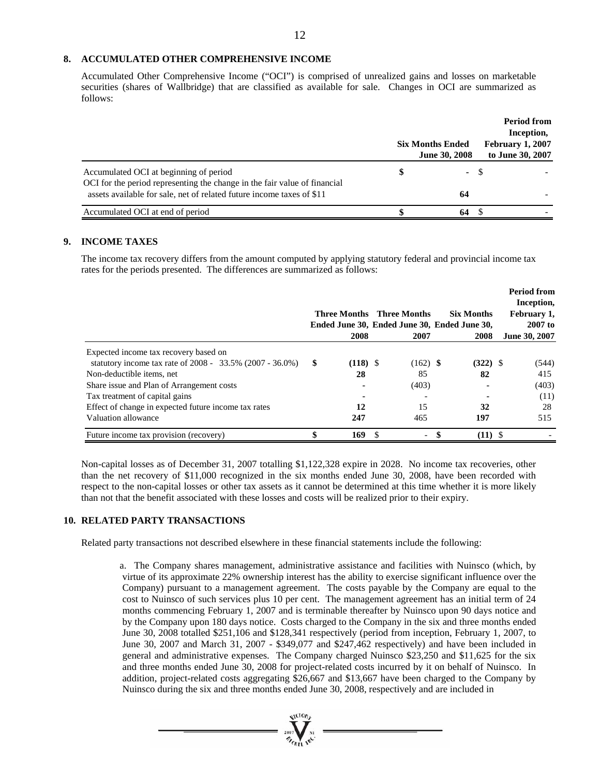#### **8. ACCUMULATED OTHER COMPREHENSIVE INCOME**

Accumulated Other Comprehensive Income ("OCI") is comprised of unrealized gains and losses on marketable securities (shares of Wallbridge) that are classified as available for sale. Changes in OCI are summarized as follows:

|                                                                                                                                                                                              | <b>Six Months Ended</b><br>June 30, 2008 | <b>Period from</b><br>Inception,<br><b>February 1, 2007</b><br>to June 30, 2007 |
|----------------------------------------------------------------------------------------------------------------------------------------------------------------------------------------------|------------------------------------------|---------------------------------------------------------------------------------|
| Accumulated OCI at beginning of period<br>OCI for the period representing the change in the fair value of financial<br>assets available for sale, net of related future income taxes of \$11 | - \$<br>64                               |                                                                                 |
| Accumulated OCI at end of period                                                                                                                                                             | 64                                       |                                                                                 |

#### **9. INCOME TAXES**

The income tax recovery differs from the amount computed by applying statutory federal and provincial income tax rates for the periods presented. The differences are summarized as follows:

|                                                             |   | 2008       | <b>Three Months</b> Three Months<br>2007 | <b>Six Months</b><br>Ended June 30, Ended June 30, Ended June 30,<br>2008 | <b>Period from</b><br>Inception,<br>February 1.<br>$2007$ to<br>June 30, 2007 |
|-------------------------------------------------------------|---|------------|------------------------------------------|---------------------------------------------------------------------------|-------------------------------------------------------------------------------|
| Expected income tax recovery based on                       |   |            |                                          |                                                                           |                                                                               |
| statutory income tax rate of $2008 - 33.5\%$ (2007 - 36.0%) | S | $(118)$ \$ | $(162)$ \$                               | $(322)$ \$                                                                | (544)                                                                         |
| Non-deductible items, net                                   |   | 28         | 85                                       | 82                                                                        | 415                                                                           |
| Share issue and Plan of Arrangement costs                   |   |            | (403)                                    |                                                                           | (403)                                                                         |
| Tax treatment of capital gains                              |   |            |                                          |                                                                           | (11)                                                                          |
| Effect of change in expected future income tax rates        |   | 12         | 15                                       | 32                                                                        | 28                                                                            |
| Valuation allowance                                         |   | 247        | 465                                      | 197                                                                       | 515                                                                           |
| Future income tax provision (recovery)                      |   | 169        | $\overline{\phantom{a}}$                 | $(11)$ \$                                                                 |                                                                               |

Non-capital losses as of December 31, 2007 totalling \$1,122,328 expire in 2028. No income tax recoveries, other than the net recovery of \$11,000 recognized in the six months ended June 30, 2008, have been recorded with respect to the non-capital losses or other tax assets as it cannot be determined at this time whether it is more likely than not that the benefit associated with these losses and costs will be realized prior to their expiry.

#### **10. RELATED PARTY TRANSACTIONS**

Related party transactions not described elsewhere in these financial statements include the following:

a. The Company shares management, administrative assistance and facilities with Nuinsco (which, by virtue of its approximate 22% ownership interest has the ability to exercise significant influence over the Company) pursuant to a management agreement. The costs payable by the Company are equal to the cost to Nuinsco of such services plus 10 per cent. The management agreement has an initial term of 24 months commencing February 1, 2007 and is terminable thereafter by Nuinsco upon 90 days notice and by the Company upon 180 days notice. Costs charged to the Company in the six and three months ended June 30, 2008 totalled \$251,106 and \$128,341 respectively (period from inception, February 1, 2007, to June 30, 2007 and March 31, 2007 - \$349,077 and \$247,462 respectively) and have been included in general and administrative expenses. The Company charged Nuinsco \$23,250 and \$11,625 for the six and three months ended June 30, 2008 for project-related costs incurred by it on behalf of Nuinsco. In addition, project-related costs aggregating \$26,667 and \$13,667 have been charged to the Company by Nuinsco during the six and three months ended June 30, 2008, respectively and are included in

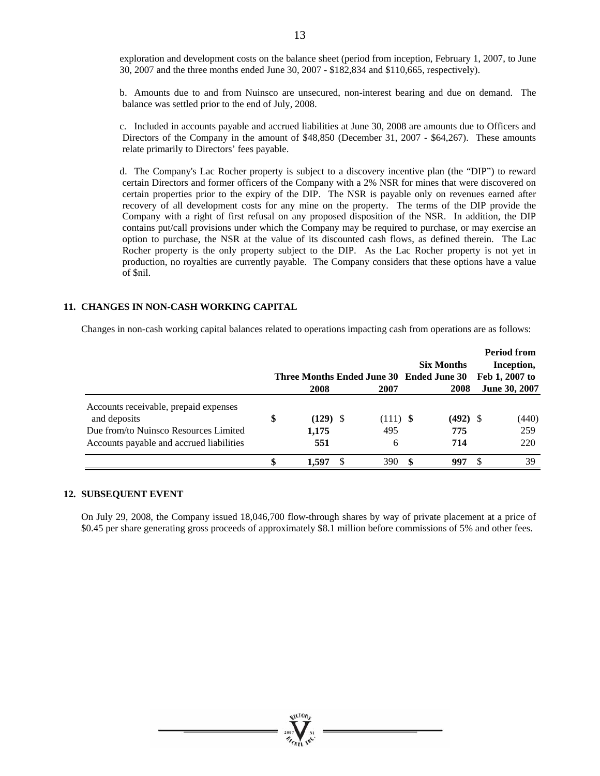exploration and development costs on the balance sheet (period from inception, February 1, 2007, to June 30, 2007 and the three months ended June 30, 2007 - \$182,834 and \$110,665, respectively).

b. Amounts due to and from Nuinsco are unsecured, non-interest bearing and due on demand. The balance was settled prior to the end of July, 2008.

c. Included in accounts payable and accrued liabilities at June 30, 2008 are amounts due to Officers and Directors of the Company in the amount of \$48,850 (December 31, 2007 - \$64,267). These amounts relate primarily to Directors' fees payable.

d. The Company's Lac Rocher property is subject to a discovery incentive plan (the "DIP") to reward certain Directors and former officers of the Company with a 2% NSR for mines that were discovered on certain properties prior to the expiry of the DIP. The NSR is payable only on revenues earned after recovery of all development costs for any mine on the property. The terms of the DIP provide the Company with a right of first refusal on any proposed disposition of the NSR. In addition, the DIP contains put/call provisions under which the Company may be required to purchase, or may exercise an option to purchase, the NSR at the value of its discounted cash flows, as defined therein. The Lac Rocher property is the only property subject to the DIP. As the Lac Rocher property is not yet in production, no royalties are currently payable. The Company considers that these options have a value of \$nil.

#### **11. CHANGES IN NON-CASH WORKING CAPITAL**

Changes in non-cash working capital balances related to operations impacting cash from operations are as follows:

|                                                                                                                                            | 2008                             | Three Months Ended June 30 Ended June 30<br>2007 | <b>Six Months</b><br>2008 | <b>Period from</b><br>Inception,<br>Feb 1, 2007 to<br><b>June 30, 2007</b> |
|--------------------------------------------------------------------------------------------------------------------------------------------|----------------------------------|--------------------------------------------------|---------------------------|----------------------------------------------------------------------------|
| Accounts receivable, prepaid expenses<br>and deposits<br>Due from/to Nuinsco Resources Limited<br>Accounts payable and accrued liabilities | \$<br>$(129)$ \$<br>1,175<br>551 | $(111)$ \$<br>495<br>6                           | $(492)$ \$<br>775<br>714  | (440)<br>259<br>220                                                        |
|                                                                                                                                            | 1.597                            | 390                                              | \$<br>997                 | 39                                                                         |

#### **12. SUBSEQUENT EVENT**

On July 29, 2008, the Company issued 18,046,700 flow-through shares by way of private placement at a price of \$0.45 per share generating gross proceeds of approximately \$8.1 million before commissions of 5% and other fees.



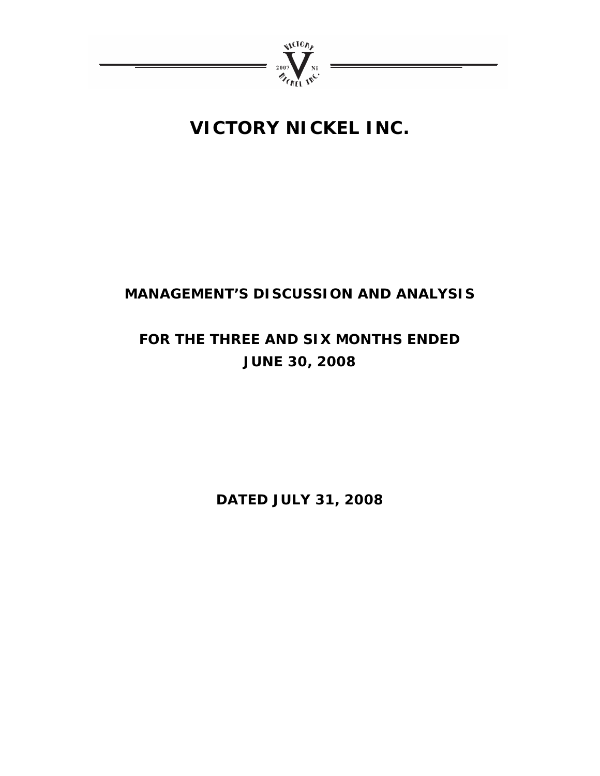

## **MANAGEMENT'S DISCUSSION AND ANALYSIS**

# **FOR THE THREE AND SIX MONTHS ENDED JUNE 30, 2008**

**DATED JULY 31, 2008**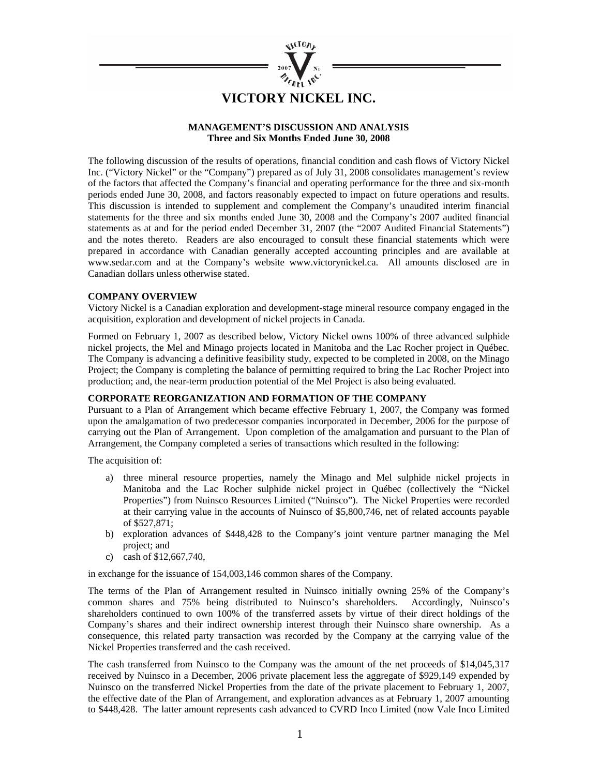

#### **MANAGEMENT'S DISCUSSION AND ANALYSIS Three and Six Months Ended June 30, 2008**

The following discussion of the results of operations, financial condition and cash flows of Victory Nickel Inc. ("Victory Nickel" or the "Company") prepared as of July 31, 2008 consolidates management's review of the factors that affected the Company's financial and operating performance for the three and six-month periods ended June 30, 2008, and factors reasonably expected to impact on future operations and results. This discussion is intended to supplement and complement the Company's unaudited interim financial statements for the three and six months ended June 30, 2008 and the Company's 2007 audited financial statements as at and for the period ended December 31, 2007 (the "2007 Audited Financial Statements") and the notes thereto. Readers are also encouraged to consult these financial statements which were prepared in accordance with Canadian generally accepted accounting principles and are available at www.sedar.com and at the Company's website www.victorynickel.ca. All amounts disclosed are in Canadian dollars unless otherwise stated.

#### **COMPANY OVERVIEW**

Victory Nickel is a Canadian exploration and development-stage mineral resource company engaged in the acquisition, exploration and development of nickel projects in Canada.

Formed on February 1, 2007 as described below, Victory Nickel owns 100% of three advanced sulphide nickel projects, the Mel and Minago projects located in Manitoba and the Lac Rocher project in Québec. The Company is advancing a definitive feasibility study, expected to be completed in 2008, on the Minago Project; the Company is completing the balance of permitting required to bring the Lac Rocher Project into production; and, the near-term production potential of the Mel Project is also being evaluated.

#### **CORPORATE REORGANIZATION AND FORMATION OF THE COMPANY**

Pursuant to a Plan of Arrangement which became effective February 1, 2007, the Company was formed upon the amalgamation of two predecessor companies incorporated in December, 2006 for the purpose of carrying out the Plan of Arrangement. Upon completion of the amalgamation and pursuant to the Plan of Arrangement, the Company completed a series of transactions which resulted in the following:

The acquisition of:

- a) three mineral resource properties, namely the Minago and Mel sulphide nickel projects in Manitoba and the Lac Rocher sulphide nickel project in Québec (collectively the "Nickel Properties") from Nuinsco Resources Limited ("Nuinsco"). The Nickel Properties were recorded at their carrying value in the accounts of Nuinsco of \$5,800,746, net of related accounts payable of \$527,871;
- b) exploration advances of \$448,428 to the Company's joint venture partner managing the Mel project; and
- c) cash of \$12,667,740,

in exchange for the issuance of 154,003,146 common shares of the Company.

The terms of the Plan of Arrangement resulted in Nuinsco initially owning 25% of the Company's common shares and 75% being distributed to Nuinsco's shareholders. Accordingly, Nuinsco's shareholders continued to own 100% of the transferred assets by virtue of their direct holdings of the Company's shares and their indirect ownership interest through their Nuinsco share ownership. As a consequence, this related party transaction was recorded by the Company at the carrying value of the Nickel Properties transferred and the cash received.

The cash transferred from Nuinsco to the Company was the amount of the net proceeds of \$14,045,317 received by Nuinsco in a December, 2006 private placement less the aggregate of \$929,149 expended by Nuinsco on the transferred Nickel Properties from the date of the private placement to February 1, 2007, the effective date of the Plan of Arrangement, and exploration advances as at February 1, 2007 amounting to \$448,428. The latter amount represents cash advanced to CVRD Inco Limited (now Vale Inco Limited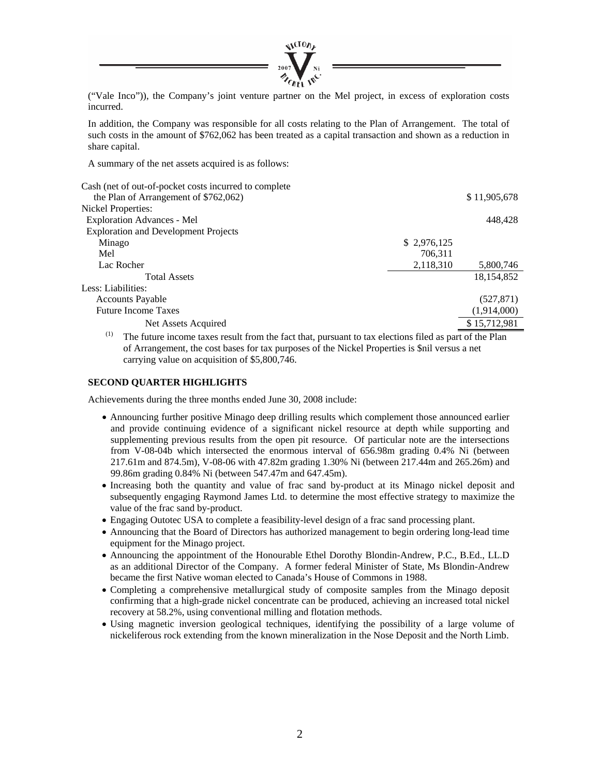

("Vale Inco")), the Company's joint venture partner on the Mel project, in excess of exploration costs incurred.

In addition, the Company was responsible for all costs relating to the Plan of Arrangement. The total of such costs in the amount of \$762,062 has been treated as a capital transaction and shown as a reduction in share capital.

A summary of the net assets acquired is as follows:

| Cash (net of out-of-pocket costs incurred to complete                                                         |             |              |  |  |  |  |  |
|---------------------------------------------------------------------------------------------------------------|-------------|--------------|--|--|--|--|--|
| the Plan of Arrangement of \$762,062)                                                                         |             | \$11,905,678 |  |  |  |  |  |
| Nickel Properties:                                                                                            |             |              |  |  |  |  |  |
| <b>Exploration Advances - Mel</b>                                                                             |             | 448,428      |  |  |  |  |  |
| <b>Exploration and Development Projects</b>                                                                   |             |              |  |  |  |  |  |
| Minago                                                                                                        | \$2,976,125 |              |  |  |  |  |  |
| Mel                                                                                                           | 706,311     |              |  |  |  |  |  |
| Lac Rocher                                                                                                    | 2,118,310   | 5,800,746    |  |  |  |  |  |
| <b>Total Assets</b>                                                                                           |             | 18, 154, 852 |  |  |  |  |  |
| Less: Liabilities:                                                                                            |             |              |  |  |  |  |  |
| <b>Accounts Payable</b>                                                                                       |             | (527, 871)   |  |  |  |  |  |
| <b>Future Income Taxes</b>                                                                                    |             | (1,914,000)  |  |  |  |  |  |
| Net Assets Acquired                                                                                           |             | \$15,712,981 |  |  |  |  |  |
| (1)<br>The future income taxes result from the fact that, pursuant to tax elections filed as part of the Plan |             |              |  |  |  |  |  |

of Arrangement, the cost bases for tax purposes of the Nickel Properties is \$nil versus a net carrying value on acquisition of \$5,800,746.

#### **SECOND QUARTER HIGHLIGHTS**

Achievements during the three months ended June 30, 2008 include:

- Announcing further positive Minago deep drilling results which complement those announced earlier and provide continuing evidence of a significant nickel resource at depth while supporting and supplementing previous results from the open pit resource. Of particular note are the intersections from V-08-04b which intersected the enormous interval of 656.98m grading 0.4% Ni (between 217.61m and 874.5m), V-08-06 with 47.82m grading 1.30% Ni (between 217.44m and 265.26m) and 99.86m grading 0.84% Ni (between 547.47m and 647.45m).
- Increasing both the quantity and value of frac sand by-product at its Minago nickel deposit and subsequently engaging Raymond James Ltd. to determine the most effective strategy to maximize the value of the frac sand by-product.
- Engaging Outotec USA to complete a feasibility-level design of a frac sand processing plant.
- Announcing that the Board of Directors has authorized management to begin ordering long-lead time equipment for the Minago project.
- Announcing the appointment of the Honourable Ethel Dorothy Blondin-Andrew, P.C., B.Ed., LL.D as an additional Director of the Company. A former federal Minister of State, Ms Blondin-Andrew became the first Native woman elected to Canada's House of Commons in 1988.
- Completing a comprehensive metallurgical study of composite samples from the Minago deposit confirming that a high-grade nickel concentrate can be produced, achieving an increased total nickel recovery at 58.2%, using conventional milling and flotation methods.
- Using magnetic inversion geological techniques, identifying the possibility of a large volume of nickeliferous rock extending from the known mineralization in the Nose Deposit and the North Limb.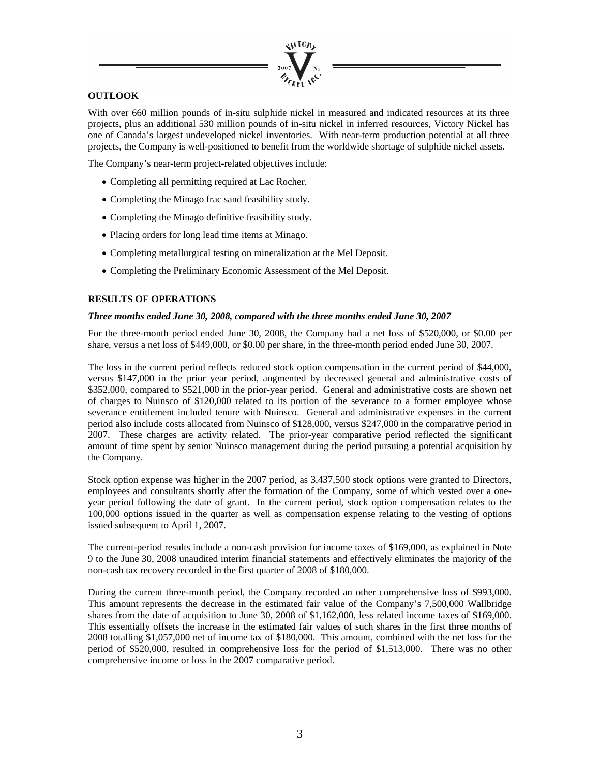

#### **OUTLOOK**

With over 660 million pounds of in-situ sulphide nickel in measured and indicated resources at its three projects, plus an additional 530 million pounds of in-situ nickel in inferred resources, Victory Nickel has one of Canada's largest undeveloped nickel inventories. With near-term production potential at all three projects, the Company is well-positioned to benefit from the worldwide shortage of sulphide nickel assets.

The Company's near-term project-related objectives include:

- Completing all permitting required at Lac Rocher.
- Completing the Minago frac sand feasibility study.
- Completing the Minago definitive feasibility study.
- Placing orders for long lead time items at Minago.
- Completing metallurgical testing on mineralization at the Mel Deposit.
- Completing the Preliminary Economic Assessment of the Mel Deposit.

#### **RESULTS OF OPERATIONS**

#### *Three months ended June 30, 2008, compared with the three months ended June 30, 2007*

For the three-month period ended June 30, 2008, the Company had a net loss of \$520,000, or \$0.00 per share, versus a net loss of \$449,000, or \$0.00 per share, in the three-month period ended June 30, 2007.

The loss in the current period reflects reduced stock option compensation in the current period of \$44,000, versus \$147,000 in the prior year period, augmented by decreased general and administrative costs of \$352,000, compared to \$521,000 in the prior-year period. General and administrative costs are shown net of charges to Nuinsco of \$120,000 related to its portion of the severance to a former employee whose severance entitlement included tenure with Nuinsco. General and administrative expenses in the current period also include costs allocated from Nuinsco of \$128,000, versus \$247,000 in the comparative period in 2007. These charges are activity related. The prior-year comparative period reflected the significant amount of time spent by senior Nuinsco management during the period pursuing a potential acquisition by the Company.

Stock option expense was higher in the 2007 period, as 3,437,500 stock options were granted to Directors, employees and consultants shortly after the formation of the Company, some of which vested over a oneyear period following the date of grant. In the current period, stock option compensation relates to the 100,000 options issued in the quarter as well as compensation expense relating to the vesting of options issued subsequent to April 1, 2007.

The current-period results include a non-cash provision for income taxes of \$169,000, as explained in Note 9 to the June 30, 2008 unaudited interim financial statements and effectively eliminates the majority of the non-cash tax recovery recorded in the first quarter of 2008 of \$180,000.

During the current three-month period, the Company recorded an other comprehensive loss of \$993,000. This amount represents the decrease in the estimated fair value of the Company's 7,500,000 Wallbridge shares from the date of acquisition to June 30, 2008 of \$1,162,000, less related income taxes of \$169,000. This essentially offsets the increase in the estimated fair values of such shares in the first three months of 2008 totalling \$1,057,000 net of income tax of \$180,000. This amount, combined with the net loss for the period of \$520,000, resulted in comprehensive loss for the period of \$1,513,000. There was no other comprehensive income or loss in the 2007 comparative period.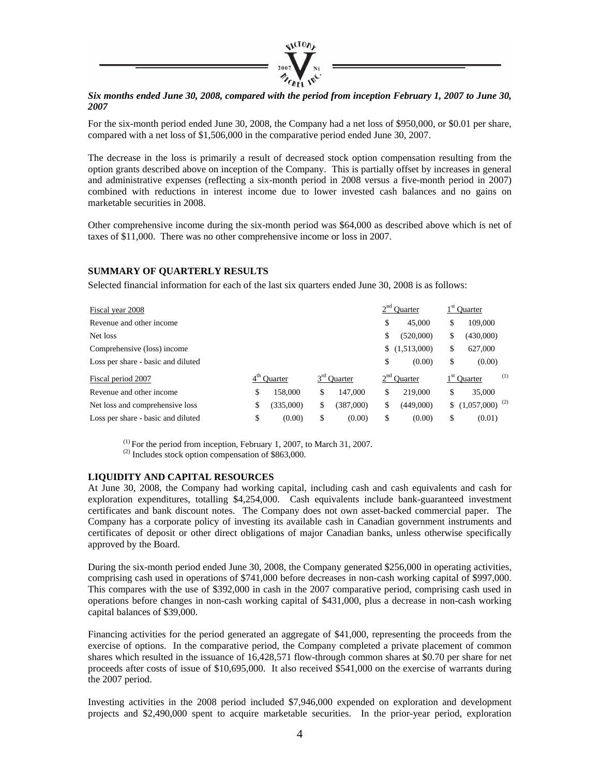

#### *Six months ended June 30, 2008, compared with the period from inception February 1, 2007 to June 30, 2007*

For the six-month period ended June 30, 2008, the Company had a net loss of \$950,000, or \$0.01 per share, compared with a net loss of \$1,506,000 in the comparative period ended June 30, 2007.

The decrease in the loss is primarily a result of decreased stock option compensation resulting from the option grants described above on inception of the Company. This is partially offset by increases in general and administrative expenses (reflecting a six-month period in 2008 versus a five-month period in 2007) combined with reductions in interest income due to lower invested cash balances and no gains on marketable securities in 2008.

Other comprehensive income during the six-month period was \$64,000 as described above which is net of taxes of \$11,000. There was no other comprehensive income or loss in 2007.

#### **SUMMARY OF QUARTERLY RESULTS**

Selected financial information for each of the last six quarters ended June 30, 2008 is as follows:

| Fiscal year 2008                   |    |                |    |               | <sup>'</sup> Ouarter |               |    | $1st$ Quarter                |  |  |
|------------------------------------|----|----------------|----|---------------|----------------------|---------------|----|------------------------------|--|--|
| Revenue and other income           |    |                |    |               | \$                   | 45,000        | \$ | 109,000                      |  |  |
| Net loss                           |    |                |    |               | S                    | (520,000)     | \$ | (430,000)                    |  |  |
| Comprehensive (loss) income        |    |                |    |               |                      | \$(1,513,000) | \$ | 627,000                      |  |  |
| Loss per share - basic and diluted |    |                |    |               | \$                   | (0.00)        | \$ | (0.00)                       |  |  |
| Fiscal period 2007                 |    | <b>Ouarter</b> |    | $3rd$ Quarter |                      | Ouarter       |    | (1)<br>$1st$ Quarter         |  |  |
| Revenue and other income           | \$ | 158,000        | \$ | 147,000       | \$                   | 219,000       | \$ | 35,000                       |  |  |
| Net loss and comprehensive loss    | \$ | (335,000)      | \$ | (387,000)     | \$                   | (449,000)     | \$ | $(1,057,000)$ <sup>(2)</sup> |  |  |
| Loss per share - basic and diluted | \$ | (0.00)         | \$ | (0.00)        | \$                   | (0.00)        | \$ | (0.01)                       |  |  |

 $(1)$  For the period from inception, February 1, 2007, to March 31, 2007.

(2) Includes stock option compensation of \$863,000.

#### **LIQUIDITY AND CAPITAL RESOURCES**

At June 30, 2008, the Company had working capital, including cash and cash equivalents and cash for exploration expenditures, totalling \$4,254,000. Cash equivalents include bank-guaranteed investment certificates and bank discount notes. The Company does not own asset-backed commercial paper. The Company has a corporate policy of investing its available cash in Canadian government instruments and certificates of deposit or other direct obligations of major Canadian banks, unless otherwise specifically approved by the Board.

During the six-month period ended June 30, 2008, the Company generated \$256,000 in operating activities, comprising cash used in operations of \$741,000 before decreases in non-cash working capital of \$997,000. This compares with the use of \$392,000 in cash in the 2007 comparative period, comprising cash used in operations before changes in non-cash working capital of \$431,000, plus a decrease in non-cash working capital balances of \$39,000.

Financing activities for the period generated an aggregate of \$41,000, representing the proceeds from the exercise of options. In the comparative period, the Company completed a private placement of common shares which resulted in the issuance of 16,428,571 flow-through common shares at \$0.70 per share for net proceeds after costs of issue of \$10,695,000. It also received \$541,000 on the exercise of warrants during the 2007 period.

Investing activities in the 2008 period included \$7,946,000 expended on exploration and development projects and \$2,490,000 spent to acquire marketable securities. In the prior-year period, exploration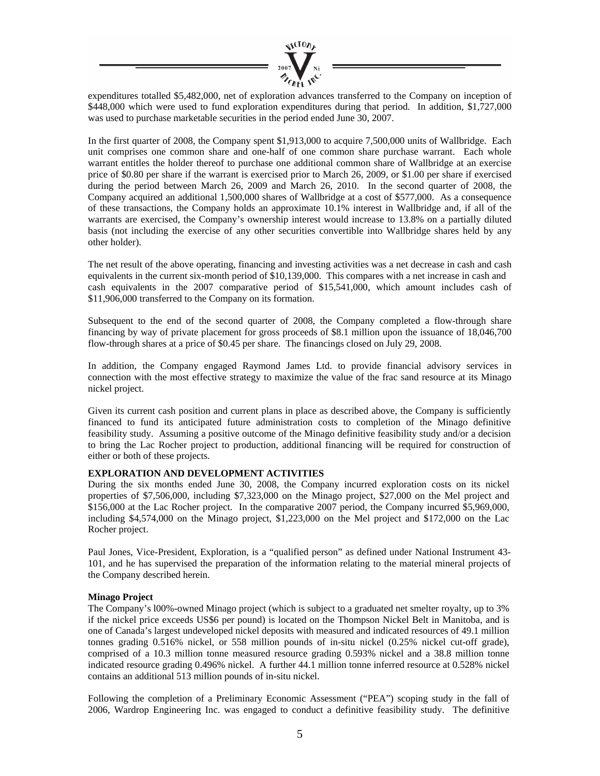

expenditures totalled \$5,482,000, net of exploration advances transferred to the Company on inception of \$448,000 which were used to fund exploration expenditures during that period. In addition, \$1,727,000 was used to purchase marketable securities in the period ended June 30, 2007.

In the first quarter of 2008, the Company spent \$1,913,000 to acquire 7,500,000 units of Wallbridge. Each unit comprises one common share and one-half of one common share purchase warrant. Each whole warrant entitles the holder thereof to purchase one additional common share of Wallbridge at an exercise price of \$0.80 per share if the warrant is exercised prior to March 26, 2009, or \$1.00 per share if exercised during the period between March 26, 2009 and March 26, 2010. In the second quarter of 2008, the Company acquired an additional 1,500,000 shares of Wallbridge at a cost of \$577,000. As a consequence of these transactions, the Company holds an approximate 10.1% interest in Wallbridge and, if all of the warrants are exercised, the Company's ownership interest would increase to 13.8% on a partially diluted basis (not including the exercise of any other securities convertible into Wallbridge shares held by any other holder).

The net result of the above operating, financing and investing activities was a net decrease in cash and cash equivalents in the current six-month period of \$10,139,000. This compares with a net increase in cash and cash equivalents in the 2007 comparative period of \$15,541,000, which amount includes cash of \$11,906,000 transferred to the Company on its formation.

Subsequent to the end of the second quarter of 2008, the Company completed a flow-through share financing by way of private placement for gross proceeds of \$8.1 million upon the issuance of 18,046,700 flow-through shares at a price of \$0.45 per share. The financings closed on July 29, 2008.

In addition, the Company engaged Raymond James Ltd. to provide financial advisory services in connection with the most effective strategy to maximize the value of the frac sand resource at its Minago nickel project.

Given its current cash position and current plans in place as described above, the Company is sufficiently financed to fund its anticipated future administration costs to completion of the Minago definitive feasibility study. Assuming a positive outcome of the Minago definitive feasibility study and/or a decision to bring the Lac Rocher project to production, additional financing will be required for construction of either or both of these projects.

#### **EXPLORATION AND DEVELOPMENT ACTIVITIES**

During the six months ended June 30, 2008, the Company incurred exploration costs on its nickel properties of \$7,506,000, including \$7,323,000 on the Minago project, \$27,000 on the Mel project and \$156,000 at the Lac Rocher project. In the comparative 2007 period, the Company incurred \$5,969,000, including \$4,574,000 on the Minago project, \$1,223,000 on the Mel project and \$172,000 on the Lac Rocher project.

Paul Jones, Vice-President, Exploration, is a "qualified person" as defined under National Instrument 43- 101, and he has supervised the preparation of the information relating to the material mineral projects of the Company described herein.

#### **Minago Project**

The Company's l00%-owned Minago project (which is subject to a graduated net smelter royalty, up to 3% if the nickel price exceeds US\$6 per pound) is located on the Thompson Nickel Belt in Manitoba, and is one of Canada's largest undeveloped nickel deposits with measured and indicated resources of 49.1 million tonnes grading 0.516% nickel, or 558 million pounds of in-situ nickel (0.25% nickel cut-off grade), comprised of a 10.3 million tonne measured resource grading 0.593% nickel and a 38.8 million tonne indicated resource grading 0.496% nickel. A further 44.1 million tonne inferred resource at 0.528% nickel contains an additional 513 million pounds of in-situ nickel.

Following the completion of a Preliminary Economic Assessment ("PEA") scoping study in the fall of 2006, Wardrop Engineering Inc. was engaged to conduct a definitive feasibility study. The definitive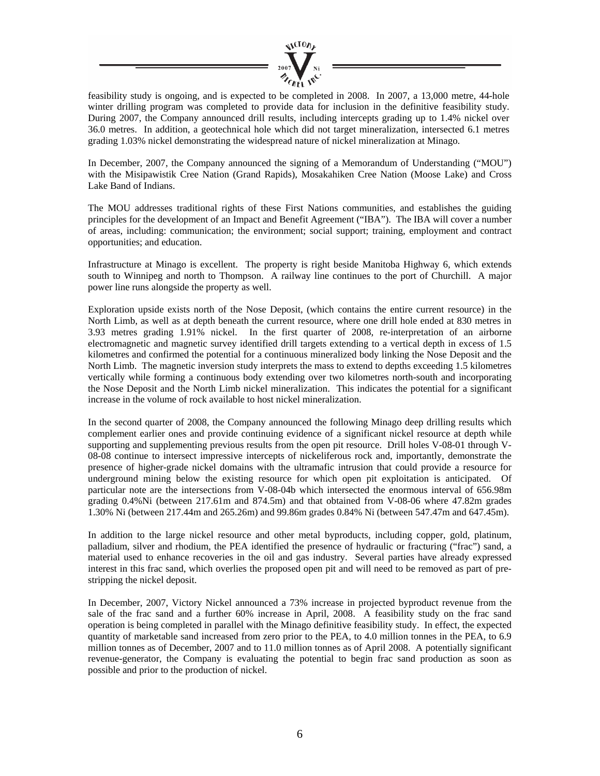

feasibility study is ongoing, and is expected to be completed in 2008. In 2007, a 13,000 metre, 44-hole winter drilling program was completed to provide data for inclusion in the definitive feasibility study. During 2007, the Company announced drill results, including intercepts grading up to 1.4% nickel over 36.0 metres. In addition, a geotechnical hole which did not target mineralization, intersected 6.1 metres grading 1.03% nickel demonstrating the widespread nature of nickel mineralization at Minago.

In December, 2007, the Company announced the signing of a Memorandum of Understanding ("MOU") with the Misipawistik Cree Nation (Grand Rapids), Mosakahiken Cree Nation (Moose Lake) and Cross Lake Band of Indians.

The MOU addresses traditional rights of these First Nations communities, and establishes the guiding principles for the development of an Impact and Benefit Agreement ("IBA"). The IBA will cover a number of areas, including: communication; the environment; social support; training, employment and contract opportunities; and education.

Infrastructure at Minago is excellent. The property is right beside Manitoba Highway 6, which extends south to Winnipeg and north to Thompson. A railway line continues to the port of Churchill. A major power line runs alongside the property as well.

Exploration upside exists north of the Nose Deposit, (which contains the entire current resource) in the North Limb, as well as at depth beneath the current resource, where one drill hole ended at 830 metres in 3.93 metres grading 1.91% nickel. In the first quarter of 2008, re-interpretation of an airborne electromagnetic and magnetic survey identified drill targets extending to a vertical depth in excess of 1.5 kilometres and confirmed the potential for a continuous mineralized body linking the Nose Deposit and the North Limb. The magnetic inversion study interprets the mass to extend to depths exceeding 1.5 kilometres vertically while forming a continuous body extending over two kilometres north-south and incorporating the Nose Deposit and the North Limb nickel mineralization. This indicates the potential for a significant increase in the volume of rock available to host nickel mineralization.

In the second quarter of 2008, the Company announced the following Minago deep drilling results which complement earlier ones and provide continuing evidence of a significant nickel resource at depth while supporting and supplementing previous results from the open pit resource. Drill holes V-08-01 through V-08-08 continue to intersect impressive intercepts of nickeliferous rock and, importantly, demonstrate the presence of higher-grade nickel domains with the ultramafic intrusion that could provide a resource for underground mining below the existing resource for which open pit exploitation is anticipated. Of particular note are the intersections from V-08-04b which intersected the enormous interval of 656.98m grading 0.4%Ni (between 217.61m and 874.5m) and that obtained from V-08-06 where 47.82m grades 1.30% Ni (between 217.44m and 265.26m) and 99.86m grades 0.84% Ni (between 547.47m and 647.45m).

In addition to the large nickel resource and other metal byproducts, including copper, gold, platinum, palladium, silver and rhodium, the PEA identified the presence of hydraulic or fracturing ("frac") sand, a material used to enhance recoveries in the oil and gas industry. Several parties have already expressed interest in this frac sand, which overlies the proposed open pit and will need to be removed as part of prestripping the nickel deposit.

In December, 2007, Victory Nickel announced a 73% increase in projected byproduct revenue from the sale of the frac sand and a further 60% increase in April, 2008. A feasibility study on the frac sand operation is being completed in parallel with the Minago definitive feasibility study. In effect, the expected quantity of marketable sand increased from zero prior to the PEA, to 4.0 million tonnes in the PEA, to 6.9 million tonnes as of December, 2007 and to 11.0 million tonnes as of April 2008. A potentially significant revenue-generator, the Company is evaluating the potential to begin frac sand production as soon as possible and prior to the production of nickel.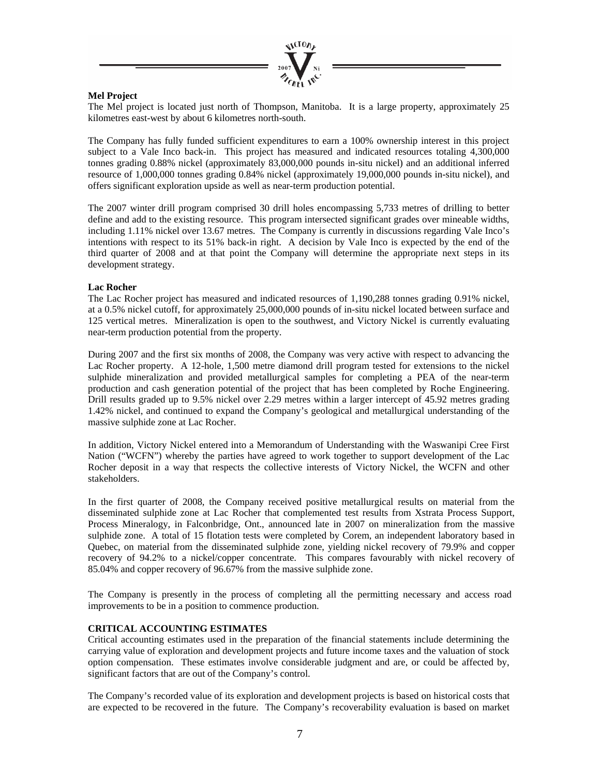

#### **Mel Project**

The Mel project is located just north of Thompson, Manitoba. It is a large property, approximately 25 kilometres east-west by about 6 kilometres north-south.

The Company has fully funded sufficient expenditures to earn a 100% ownership interest in this project subject to a Vale Inco back-in. This project has measured and indicated resources totaling 4,300,000 tonnes grading 0.88% nickel (approximately 83,000,000 pounds in-situ nickel) and an additional inferred resource of 1,000,000 tonnes grading 0.84% nickel (approximately 19,000,000 pounds in-situ nickel), and offers significant exploration upside as well as near-term production potential.

The 2007 winter drill program comprised 30 drill holes encompassing 5,733 metres of drilling to better define and add to the existing resource. This program intersected significant grades over mineable widths, including 1.11% nickel over 13.67 metres. The Company is currently in discussions regarding Vale Inco's intentions with respect to its 51% back-in right. A decision by Vale Inco is expected by the end of the third quarter of 2008 and at that point the Company will determine the appropriate next steps in its development strategy.

#### **Lac Rocher**

The Lac Rocher project has measured and indicated resources of 1,190,288 tonnes grading 0.91% nickel, at a 0.5% nickel cutoff, for approximately 25,000,000 pounds of in-situ nickel located between surface and 125 vertical metres. Mineralization is open to the southwest, and Victory Nickel is currently evaluating near-term production potential from the property.

During 2007 and the first six months of 2008, the Company was very active with respect to advancing the Lac Rocher property. A 12-hole, 1,500 metre diamond drill program tested for extensions to the nickel sulphide mineralization and provided metallurgical samples for completing a PEA of the near-term production and cash generation potential of the project that has been completed by Roche Engineering. Drill results graded up to 9.5% nickel over 2.29 metres within a larger intercept of 45.92 metres grading 1.42% nickel, and continued to expand the Company's geological and metallurgical understanding of the massive sulphide zone at Lac Rocher.

In addition, Victory Nickel entered into a Memorandum of Understanding with the Waswanipi Cree First Nation ("WCFN") whereby the parties have agreed to work together to support development of the Lac Rocher deposit in a way that respects the collective interests of Victory Nickel, the WCFN and other stakeholders.

In the first quarter of 2008, the Company received positive metallurgical results on material from the disseminated sulphide zone at Lac Rocher that complemented test results from Xstrata Process Support, Process Mineralogy, in Falconbridge, Ont., announced late in 2007 on mineralization from the massive sulphide zone. A total of 15 flotation tests were completed by Corem, an independent laboratory based in Quebec, on material from the disseminated sulphide zone, yielding nickel recovery of 79.9% and copper recovery of 94.2% to a nickel/copper concentrate. This compares favourably with nickel recovery of 85.04% and copper recovery of 96.67% from the massive sulphide zone.

The Company is presently in the process of completing all the permitting necessary and access road improvements to be in a position to commence production.

#### **CRITICAL ACCOUNTING ESTIMATES**

Critical accounting estimates used in the preparation of the financial statements include determining the carrying value of exploration and development projects and future income taxes and the valuation of stock option compensation. These estimates involve considerable judgment and are, or could be affected by, significant factors that are out of the Company's control.

The Company's recorded value of its exploration and development projects is based on historical costs that are expected to be recovered in the future. The Company's recoverability evaluation is based on market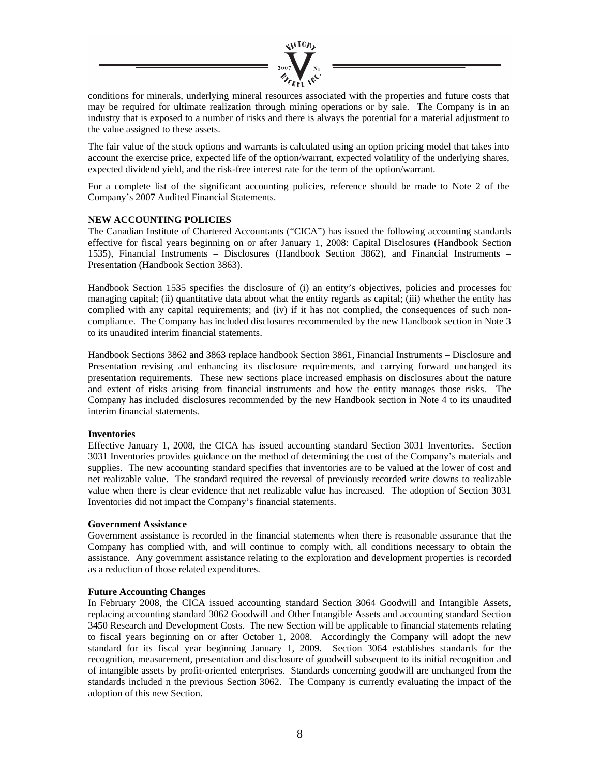

conditions for minerals, underlying mineral resources associated with the properties and future costs that may be required for ultimate realization through mining operations or by sale. The Company is in an industry that is exposed to a number of risks and there is always the potential for a material adjustment to the value assigned to these assets.

The fair value of the stock options and warrants is calculated using an option pricing model that takes into account the exercise price, expected life of the option/warrant, expected volatility of the underlying shares, expected dividend yield, and the risk-free interest rate for the term of the option/warrant.

For a complete list of the significant accounting policies, reference should be made to Note 2 of the Company's 2007 Audited Financial Statements.

#### **NEW ACCOUNTING POLICIES**

The Canadian Institute of Chartered Accountants ("CICA") has issued the following accounting standards effective for fiscal years beginning on or after January 1, 2008: Capital Disclosures (Handbook Section 1535), Financial Instruments – Disclosures (Handbook Section 3862), and Financial Instruments – Presentation (Handbook Section 3863).

Handbook Section 1535 specifies the disclosure of (i) an entity's objectives, policies and processes for managing capital; (ii) quantitative data about what the entity regards as capital; (iii) whether the entity has complied with any capital requirements; and (iv) if it has not complied, the consequences of such noncompliance. The Company has included disclosures recommended by the new Handbook section in Note 3 to its unaudited interim financial statements.

Handbook Sections 3862 and 3863 replace handbook Section 3861, Financial Instruments – Disclosure and Presentation revising and enhancing its disclosure requirements, and carrying forward unchanged its presentation requirements. These new sections place increased emphasis on disclosures about the nature and extent of risks arising from financial instruments and how the entity manages those risks. The Company has included disclosures recommended by the new Handbook section in Note 4 to its unaudited interim financial statements.

#### **Inventories**

Effective January 1, 2008, the CICA has issued accounting standard Section 3031 Inventories. Section 3031 Inventories provides guidance on the method of determining the cost of the Company's materials and supplies. The new accounting standard specifies that inventories are to be valued at the lower of cost and net realizable value. The standard required the reversal of previously recorded write downs to realizable value when there is clear evidence that net realizable value has increased. The adoption of Section 3031 Inventories did not impact the Company's financial statements.

#### **Government Assistance**

Government assistance is recorded in the financial statements when there is reasonable assurance that the Company has complied with, and will continue to comply with, all conditions necessary to obtain the assistance. Any government assistance relating to the exploration and development properties is recorded as a reduction of those related expenditures.

#### **Future Accounting Changes**

In February 2008, the CICA issued accounting standard Section 3064 Goodwill and Intangible Assets, replacing accounting standard 3062 Goodwill and Other Intangible Assets and accounting standard Section 3450 Research and Development Costs. The new Section will be applicable to financial statements relating to fiscal years beginning on or after October 1, 2008. Accordingly the Company will adopt the new standard for its fiscal year beginning January 1, 2009. Section 3064 establishes standards for the recognition, measurement, presentation and disclosure of goodwill subsequent to its initial recognition and of intangible assets by profit-oriented enterprises. Standards concerning goodwill are unchanged from the standards included n the previous Section 3062. The Company is currently evaluating the impact of the adoption of this new Section.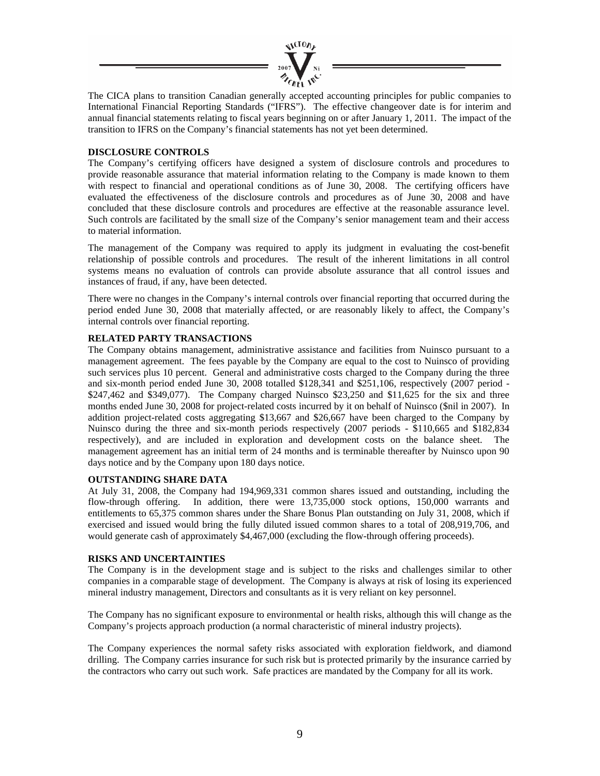

The CICA plans to transition Canadian generally accepted accounting principles for public companies to International Financial Reporting Standards ("IFRS"). The effective changeover date is for interim and annual financial statements relating to fiscal years beginning on or after January 1, 2011. The impact of the transition to IFRS on the Company's financial statements has not yet been determined.

#### **DISCLOSURE CONTROLS**

The Company's certifying officers have designed a system of disclosure controls and procedures to provide reasonable assurance that material information relating to the Company is made known to them with respect to financial and operational conditions as of June 30, 2008. The certifying officers have evaluated the effectiveness of the disclosure controls and procedures as of June 30, 2008 and have concluded that these disclosure controls and procedures are effective at the reasonable assurance level. Such controls are facilitated by the small size of the Company's senior management team and their access to material information.

The management of the Company was required to apply its judgment in evaluating the cost-benefit relationship of possible controls and procedures. The result of the inherent limitations in all control systems means no evaluation of controls can provide absolute assurance that all control issues and instances of fraud, if any, have been detected.

There were no changes in the Company's internal controls over financial reporting that occurred during the period ended June 30, 2008 that materially affected, or are reasonably likely to affect, the Company's internal controls over financial reporting.

#### **RELATED PARTY TRANSACTIONS**

The Company obtains management, administrative assistance and facilities from Nuinsco pursuant to a management agreement. The fees payable by the Company are equal to the cost to Nuinsco of providing such services plus 10 percent. General and administrative costs charged to the Company during the three and six-month period ended June 30, 2008 totalled \$128,341 and \$251,106, respectively (2007 period - \$247,462 and \$349,077). The Company charged Nuinsco \$23,250 and \$11,625 for the six and three months ended June 30, 2008 for project-related costs incurred by it on behalf of Nuinsco (\$nil in 2007). In addition project-related costs aggregating \$13,667 and \$26,667 have been charged to the Company by Nuinsco during the three and six-month periods respectively (2007 periods - \$110,665 and \$182,834 respectively), and are included in exploration and development costs on the balance sheet. The management agreement has an initial term of 24 months and is terminable thereafter by Nuinsco upon 90 days notice and by the Company upon 180 days notice.

#### **OUTSTANDING SHARE DATA**

At July 31, 2008, the Company had 194,969,331 common shares issued and outstanding, including the flow-through offering. In addition, there were 13,735,000 stock options, 150,000 warrants and entitlements to 65,375 common shares under the Share Bonus Plan outstanding on July 31, 2008, which if exercised and issued would bring the fully diluted issued common shares to a total of 208,919,706, and would generate cash of approximately \$4,467,000 (excluding the flow-through offering proceeds).

#### **RISKS AND UNCERTAINTIES**

The Company is in the development stage and is subject to the risks and challenges similar to other companies in a comparable stage of development. The Company is always at risk of losing its experienced mineral industry management, Directors and consultants as it is very reliant on key personnel.

The Company has no significant exposure to environmental or health risks, although this will change as the Company's projects approach production (a normal characteristic of mineral industry projects).

The Company experiences the normal safety risks associated with exploration fieldwork, and diamond drilling. The Company carries insurance for such risk but is protected primarily by the insurance carried by the contractors who carry out such work. Safe practices are mandated by the Company for all its work.